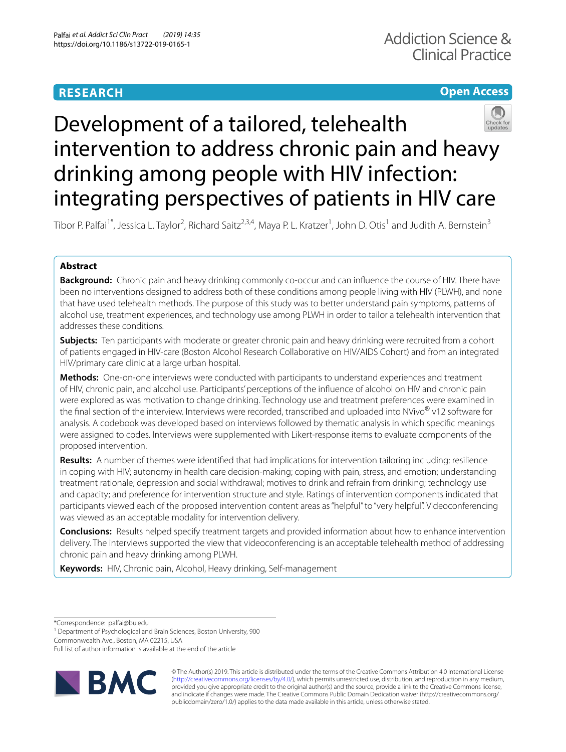# **RESEARCH**

# **Open Access**



# Development of a tailored, telehealth intervention to address chronic pain and heavy drinking among people with HIV infection: integrating perspectives of patients in HIV care

Tibor P. Palfai<sup>1\*</sup>, Jessica L. Taylor<sup>2</sup>, Richard Saitz<sup>2,3,4</sup>, Maya P. L. Kratzer<sup>1</sup>, John D. Otis<sup>1</sup> and Judith A. Bernstein<sup>3</sup>

# **Abstract**

**Background:** Chronic pain and heavy drinking commonly co-occur and can infuence the course of HIV. There have been no interventions designed to address both of these conditions among people living with HIV (PLWH), and none that have used telehealth methods. The purpose of this study was to better understand pain symptoms, patterns of alcohol use, treatment experiences, and technology use among PLWH in order to tailor a telehealth intervention that addresses these conditions.

**Subjects:** Ten participants with moderate or greater chronic pain and heavy drinking were recruited from a cohort of patients engaged in HIV-care (Boston Alcohol Research Collaborative on HIV/AIDS Cohort) and from an integrated HIV/primary care clinic at a large urban hospital.

**Methods:** One-on-one interviews were conducted with participants to understand experiences and treatment of HIV, chronic pain, and alcohol use. Participants' perceptions of the infuence of alcohol on HIV and chronic pain were explored as was motivation to change drinking. Technology use and treatment preferences were examined in the final section of the interview. Interviews were recorded, transcribed and uploaded into NVivo<sup>®</sup> v12 software for analysis. A codebook was developed based on interviews followed by thematic analysis in which specifc meanings were assigned to codes. Interviews were supplemented with Likert-response items to evaluate components of the proposed intervention.

**Results:** A number of themes were identifed that had implications for intervention tailoring including: resilience in coping with HIV; autonomy in health care decision-making; coping with pain, stress, and emotion; understanding treatment rationale; depression and social withdrawal; motives to drink and refrain from drinking; technology use and capacity; and preference for intervention structure and style. Ratings of intervention components indicated that participants viewed each of the proposed intervention content areas as "helpful" to "very helpful". Videoconferencing was viewed as an acceptable modality for intervention delivery.

**Conclusions:** Results helped specify treatment targets and provided information about how to enhance intervention delivery. The interviews supported the view that videoconferencing is an acceptable telehealth method of addressing chronic pain and heavy drinking among PLWH.

**Keywords:** HIV, Chronic pain, Alcohol, Heavy drinking, Self-management

\*Correspondence: palfai@bu.edu

<sup>1</sup> Department of Psychological and Brain Sciences, Boston University, 900

Commonwealth Ave., Boston, MA 02215, USA

Full list of author information is available at the end of the article



© The Author(s) 2019. This article is distributed under the terms of the Creative Commons Attribution 4.0 International License [\(http://creativecommons.org/licenses/by/4.0/\)](http://creativecommons.org/licenses/by/4.0/), which permits unrestricted use, distribution, and reproduction in any medium, provided you give appropriate credit to the original author(s) and the source, provide a link to the Creative Commons license, and indicate if changes were made. The Creative Commons Public Domain Dedication waiver (http://creativecommons.org/ publicdomain/zero/1.0/) applies to the data made available in this article, unless otherwise stated.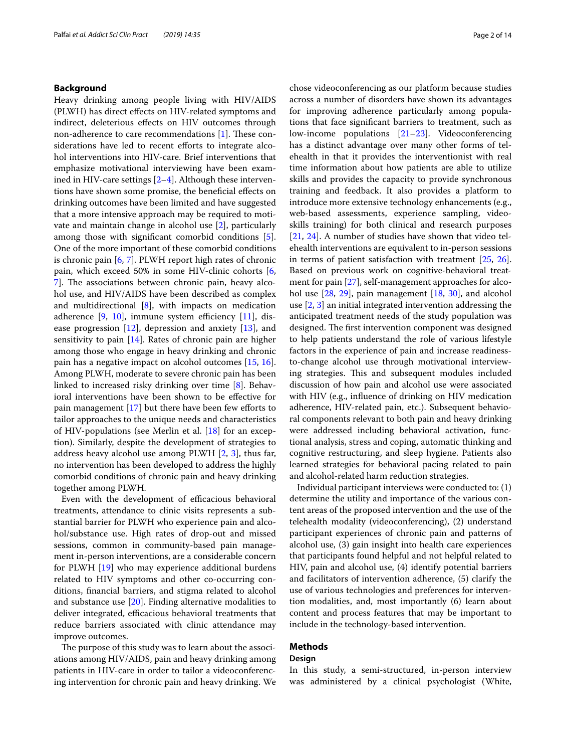#### **Background**

Heavy drinking among people living with HIV/AIDS (PLWH) has direct efects on HIV-related symptoms and indirect, deleterious efects on HIV outcomes through non-adherence to care recommendations  $[1]$  $[1]$ . These considerations have led to recent efforts to integrate alcohol interventions into HIV-care. Brief interventions that emphasize motivational interviewing have been examined in HIV-care settings [[2](#page-12-1)[–4](#page-12-2)]. Although these interventions have shown some promise, the benefcial efects on drinking outcomes have been limited and have suggested that a more intensive approach may be required to motivate and maintain change in alcohol use [[2\]](#page-12-1), particularly among those with signifcant comorbid conditions [\[5](#page-12-3)]. One of the more important of these comorbid conditions is chronic pain [\[6](#page-12-4), [7](#page-12-5)]. PLWH report high rates of chronic pain, which exceed 50% in some HIV-clinic cohorts [\[6](#page-12-4), [7\]](#page-12-5). The associations between chronic pain, heavy alcohol use, and HIV/AIDS have been described as complex and multidirectional  $[8]$  $[8]$ , with impacts on medication adherence  $[9, 10]$  $[9, 10]$  $[9, 10]$ , immune system efficiency  $[11]$  $[11]$ , disease progression [\[12\]](#page-13-1), depression and anxiety [\[13\]](#page-13-2), and sensitivity to pain [\[14](#page-13-3)]. Rates of chronic pain are higher among those who engage in heavy drinking and chronic pain has a negative impact on alcohol outcomes [\[15](#page-13-4), [16](#page-13-5)]. Among PLWH, moderate to severe chronic pain has been linked to increased risky drinking over time [\[8](#page-12-6)]. Behavioral interventions have been shown to be efective for pain management  $[17]$  $[17]$  but there have been few efforts to tailor approaches to the unique needs and characteristics of HIV-populations (see Merlin et al. [[18\]](#page-13-7) for an exception). Similarly, despite the development of strategies to address heavy alcohol use among PLWH [[2,](#page-12-1) [3](#page-12-9)], thus far, no intervention has been developed to address the highly comorbid conditions of chronic pain and heavy drinking together among PLWH.

Even with the development of efficacious behavioral treatments, attendance to clinic visits represents a substantial barrier for PLWH who experience pain and alcohol/substance use. High rates of drop-out and missed sessions, common in community-based pain management in-person interventions, are a considerable concern for PLWH [[19\]](#page-13-8) who may experience additional burdens related to HIV symptoms and other co-occurring conditions, fnancial barriers, and stigma related to alcohol and substance use  $[20]$  $[20]$ . Finding alternative modalities to deliver integrated, efficacious behavioral treatments that reduce barriers associated with clinic attendance may improve outcomes.

The purpose of this study was to learn about the associations among HIV/AIDS, pain and heavy drinking among patients in HIV-care in order to tailor a videoconferencing intervention for chronic pain and heavy drinking. We chose videoconferencing as our platform because studies across a number of disorders have shown its advantages for improving adherence particularly among populations that face signifcant barriers to treatment, such as low-income populations [[21–](#page-13-10)[23](#page-13-11)]. Videoconferencing has a distinct advantage over many other forms of telehealth in that it provides the interventionist with real time information about how patients are able to utilize skills and provides the capacity to provide synchronous training and feedback. It also provides a platform to introduce more extensive technology enhancements (e.g., web-based assessments, experience sampling, videoskills training) for both clinical and research purposes [[21,](#page-13-10) [24\]](#page-13-12). A number of studies have shown that video telehealth interventions are equivalent to in-person sessions in terms of patient satisfaction with treatment [\[25](#page-13-13), [26](#page-13-14)]. Based on previous work on cognitive-behavioral treatment for pain [[27](#page-13-15)], self-management approaches for alcohol use [\[28](#page-13-16), [29\]](#page-13-17), pain management [\[18](#page-13-7), [30\]](#page-13-18), and alcohol use [[2,](#page-12-1) [3](#page-12-9)] an initial integrated intervention addressing the anticipated treatment needs of the study population was designed. The first intervention component was designed to help patients understand the role of various lifestyle factors in the experience of pain and increase readinessto-change alcohol use through motivational interviewing strategies. This and subsequent modules included discussion of how pain and alcohol use were associated with HIV (e.g., infuence of drinking on HIV medication adherence, HIV-related pain, etc.). Subsequent behavioral components relevant to both pain and heavy drinking were addressed including behavioral activation, functional analysis, stress and coping, automatic thinking and cognitive restructuring, and sleep hygiene. Patients also learned strategies for behavioral pacing related to pain and alcohol-related harm reduction strategies.

Individual participant interviews were conducted to: (1) determine the utility and importance of the various content areas of the proposed intervention and the use of the telehealth modality (videoconferencing), (2) understand participant experiences of chronic pain and patterns of alcohol use, (3) gain insight into health care experiences that participants found helpful and not helpful related to HIV, pain and alcohol use, (4) identify potential barriers and facilitators of intervention adherence, (5) clarify the use of various technologies and preferences for intervention modalities, and, most importantly (6) learn about content and process features that may be important to include in the technology-based intervention.

#### **Methods**

#### **Design**

In this study, a semi-structured, in-person interview was administered by a clinical psychologist (White,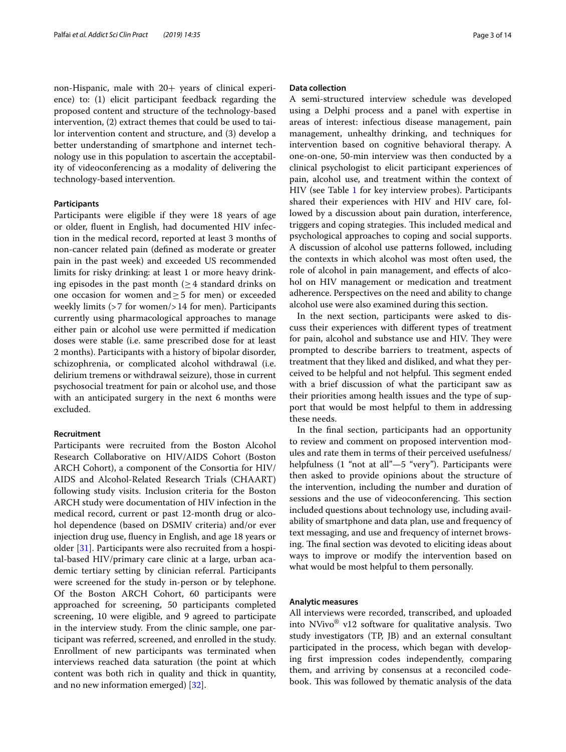non-Hispanic, male with 20+ years of clinical experience) to: (1) elicit participant feedback regarding the proposed content and structure of the technology-based intervention, (2) extract themes that could be used to tailor intervention content and structure, and (3) develop a better understanding of smartphone and internet technology use in this population to ascertain the acceptability of videoconferencing as a modality of delivering the technology-based intervention.

#### **Participants**

Participants were eligible if they were 18 years of age or older, fuent in English, had documented HIV infection in the medical record, reported at least 3 months of non-cancer related pain (defned as moderate or greater pain in the past week) and exceeded US recommended limits for risky drinking: at least 1 or more heavy drinking episodes in the past month ( $\geq$  4 standard drinks on one occasion for women and  $\geq$  5 for men) or exceeded weekly limits (>7 for women/>14 for men). Participants currently using pharmacological approaches to manage either pain or alcohol use were permitted if medication doses were stable (i.e. same prescribed dose for at least 2 months). Participants with a history of bipolar disorder, schizophrenia, or complicated alcohol withdrawal (i.e. delirium tremens or withdrawal seizure), those in current psychosocial treatment for pain or alcohol use, and those with an anticipated surgery in the next 6 months were excluded.

#### **Recruitment**

Participants were recruited from the Boston Alcohol Research Collaborative on HIV/AIDS Cohort (Boston ARCH Cohort), a component of the Consortia for HIV/ AIDS and Alcohol-Related Research Trials (CHAART) following study visits. Inclusion criteria for the Boston ARCH study were documentation of HIV infection in the medical record, current or past 12-month drug or alcohol dependence (based on DSMIV criteria) and/or ever injection drug use, fuency in English, and age 18 years or older [[31\]](#page-13-19). Participants were also recruited from a hospital-based HIV/primary care clinic at a large, urban academic tertiary setting by clinician referral. Participants were screened for the study in-person or by telephone. Of the Boston ARCH Cohort, 60 participants were approached for screening, 50 participants completed screening, 10 were eligible, and 9 agreed to participate in the interview study. From the clinic sample, one participant was referred, screened, and enrolled in the study. Enrollment of new participants was terminated when interviews reached data saturation (the point at which content was both rich in quality and thick in quantity, and no new information emerged) [[32\]](#page-13-20).

#### **Data collection**

A semi-structured interview schedule was developed using a Delphi process and a panel with expertise in areas of interest: infectious disease management, pain management, unhealthy drinking, and techniques for intervention based on cognitive behavioral therapy. A one-on-one, 50-min interview was then conducted by a clinical psychologist to elicit participant experiences of pain, alcohol use, and treatment within the context of HIV (see Table [1](#page-3-0) for key interview probes). Participants shared their experiences with HIV and HIV care, followed by a discussion about pain duration, interference, triggers and coping strategies. This included medical and psychological approaches to coping and social supports. A discussion of alcohol use patterns followed, including the contexts in which alcohol was most often used, the role of alcohol in pain management, and efects of alcohol on HIV management or medication and treatment adherence. Perspectives on the need and ability to change alcohol use were also examined during this section.

In the next section, participants were asked to discuss their experiences with diferent types of treatment for pain, alcohol and substance use and HIV. They were prompted to describe barriers to treatment, aspects of treatment that they liked and disliked, and what they perceived to be helpful and not helpful. This segment ended with a brief discussion of what the participant saw as their priorities among health issues and the type of support that would be most helpful to them in addressing these needs.

In the fnal section, participants had an opportunity to review and comment on proposed intervention modules and rate them in terms of their perceived usefulness/ helpfulness (1 "not at all"-5 "very"). Participants were then asked to provide opinions about the structure of the intervention, including the number and duration of sessions and the use of videoconferencing. This section included questions about technology use, including availability of smartphone and data plan, use and frequency of text messaging, and use and frequency of internet browsing. The final section was devoted to eliciting ideas about ways to improve or modify the intervention based on what would be most helpful to them personally.

#### **Analytic measures**

All interviews were recorded, transcribed, and uploaded into NVivo® v12 software for qualitative analysis. Two study investigators (TP, JB) and an external consultant participated in the process, which began with developing frst impression codes independently, comparing them, and arriving by consensus at a reconciled codebook. This was followed by thematic analysis of the data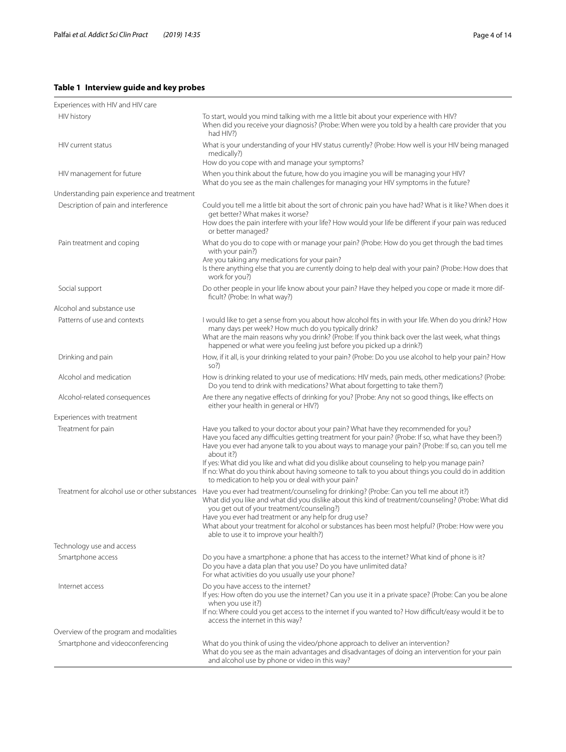### <span id="page-3-0"></span>**Table 1 Interview guide and key probes**

| Experiences with HIV and HIV care             |                                                                                                                                                                                                                                                                                                                                                                                                                                                                                                                                                                              |
|-----------------------------------------------|------------------------------------------------------------------------------------------------------------------------------------------------------------------------------------------------------------------------------------------------------------------------------------------------------------------------------------------------------------------------------------------------------------------------------------------------------------------------------------------------------------------------------------------------------------------------------|
| HIV history                                   | To start, would you mind talking with me a little bit about your experience with HIV?<br>When did you receive your diagnosis? (Probe: When were you told by a health care provider that you<br>had HIV?)                                                                                                                                                                                                                                                                                                                                                                     |
| HIV current status                            | What is your understanding of your HIV status currently? (Probe: How well is your HIV being managed<br>medically?)<br>How do you cope with and manage your symptoms?                                                                                                                                                                                                                                                                                                                                                                                                         |
| HIV management for future                     | When you think about the future, how do you imagine you will be managing your HIV?<br>What do you see as the main challenges for managing your HIV symptoms in the future?                                                                                                                                                                                                                                                                                                                                                                                                   |
| Understanding pain experience and treatment   |                                                                                                                                                                                                                                                                                                                                                                                                                                                                                                                                                                              |
| Description of pain and interference          | Could you tell me a little bit about the sort of chronic pain you have had? What is it like? When does it<br>get better? What makes it worse?<br>How does the pain interfere with your life? How would your life be different if your pain was reduced<br>or better managed?                                                                                                                                                                                                                                                                                                 |
| Pain treatment and coping                     | What do you do to cope with or manage your pain? (Probe: How do you get through the bad times<br>with your pain?)<br>Are you taking any medications for your pain?<br>Is there anything else that you are currently doing to help deal with your pain? (Probe: How does that<br>work for you?)                                                                                                                                                                                                                                                                               |
| Social support                                | Do other people in your life know about your pain? Have they helped you cope or made it more dif-<br>ficult? (Probe: In what way?)                                                                                                                                                                                                                                                                                                                                                                                                                                           |
| Alcohol and substance use                     |                                                                                                                                                                                                                                                                                                                                                                                                                                                                                                                                                                              |
| Patterns of use and contexts                  | I would like to get a sense from you about how alcohol fits in with your life. When do you drink? How<br>many days per week? How much do you typically drink?<br>What are the main reasons why you drink? (Probe: If you think back over the last week, what things<br>happened or what were you feeling just before you picked up a drink?)                                                                                                                                                                                                                                 |
| Drinking and pain                             | How, if it all, is your drinking related to your pain? (Probe: Do you use alcohol to help your pain? How<br>SO(2)                                                                                                                                                                                                                                                                                                                                                                                                                                                            |
| Alcohol and medication                        | How is drinking related to your use of medications: HIV meds, pain meds, other medications? (Probe:<br>Do you tend to drink with medications? What about forgetting to take them?)                                                                                                                                                                                                                                                                                                                                                                                           |
| Alcohol-related consequences                  | Are there any negative effects of drinking for you? [Probe: Any not so good things, like effects on<br>either your health in general or HIV?)                                                                                                                                                                                                                                                                                                                                                                                                                                |
| Experiences with treatment                    |                                                                                                                                                                                                                                                                                                                                                                                                                                                                                                                                                                              |
| Treatment for pain                            | Have you talked to your doctor about your pain? What have they recommended for you?<br>Have you faced any difficulties getting treatment for your pain? (Probe: If so, what have they been?)<br>Have you ever had anyone talk to you about ways to manage your pain? (Probe: If so, can you tell me<br>about it?)<br>If yes: What did you like and what did you dislike about counseling to help you manage pain?<br>If no: What do you think about having someone to talk to you about things you could do in addition<br>to medication to help you or deal with your pain? |
| Treatment for alcohol use or other substances | Have you ever had treatment/counseling for drinking? (Probe: Can you tell me about it?)<br>What did you like and what did you dislike about this kind of treatment/counseling? (Probe: What did<br>you get out of your treatment/counseling?)<br>Have you ever had treatment or any help for drug use?<br>What about your treatment for alcohol or substances has been most helpful? (Probe: How were you<br>able to use it to improve your health?)                                                                                                                         |
| Technology use and access                     |                                                                                                                                                                                                                                                                                                                                                                                                                                                                                                                                                                              |
| Smartphone access                             | Do you have a smartphone: a phone that has access to the internet? What kind of phone is it?<br>Do you have a data plan that you use? Do you have unlimited data?<br>For what activities do you usually use your phone?                                                                                                                                                                                                                                                                                                                                                      |
| Internet access                               | Do you have access to the internet?<br>If yes: How often do you use the internet? Can you use it in a private space? (Probe: Can you be alone<br>when you use it?)<br>If no: Where could you get access to the internet if you wanted to? How difficult/easy would it be to<br>access the internet in this way?                                                                                                                                                                                                                                                              |
| Overview of the program and modalities        |                                                                                                                                                                                                                                                                                                                                                                                                                                                                                                                                                                              |
| Smartphone and videoconferencing              | What do you think of using the video/phone approach to deliver an intervention?<br>What do you see as the main advantages and disadvantages of doing an intervention for your pain<br>and alcohol use by phone or video in this way?                                                                                                                                                                                                                                                                                                                                         |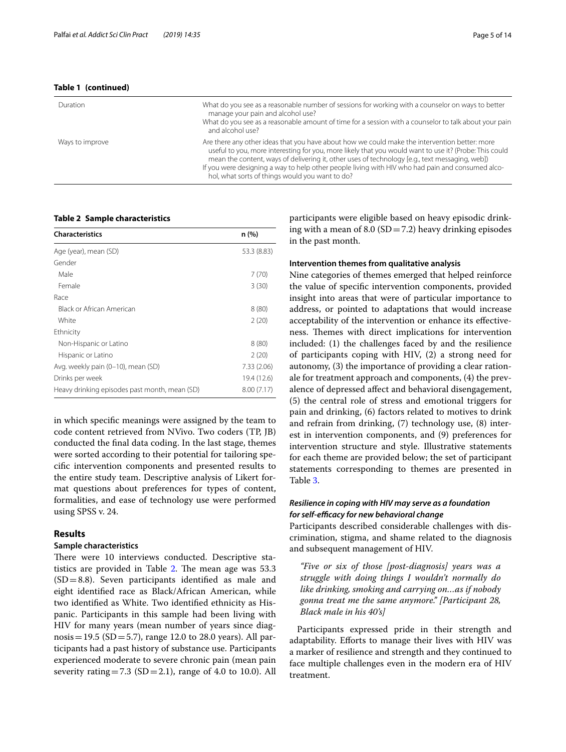| Duration        | What do you see as a reasonable number of sessions for working with a counselor on ways to better<br>manage your pain and alcohol use?<br>What do you see as a reasonable amount of time for a session with a counselor to talk about your pain                                                                                                                                                                                                                  |
|-----------------|------------------------------------------------------------------------------------------------------------------------------------------------------------------------------------------------------------------------------------------------------------------------------------------------------------------------------------------------------------------------------------------------------------------------------------------------------------------|
|                 | and alcohol use?                                                                                                                                                                                                                                                                                                                                                                                                                                                 |
| Ways to improve | Are there any other ideas that you have about how we could make the intervention better: more<br>useful to you, more interesting for you, more likely that you would want to use it? (Probe: This could<br>mean the content, ways of delivering it, other uses of technology [e.g., text messaging, web])<br>If you were designing a way to help other people living with HIV who had pain and consumed alco-<br>hol, what sorts of things would you want to do? |

## **Table 1 (continued)**

#### <span id="page-4-0"></span>**Table 2 Sample characteristics**

| <b>Characteristics</b>                        | n (%)       |
|-----------------------------------------------|-------------|
| Age (year), mean (SD)                         | 53.3 (8.83) |
| Gender                                        |             |
| Male                                          | 7(70)       |
| Female                                        | 3(30)       |
| Race                                          |             |
| Black or African American                     | 8(80)       |
| White                                         | 2(20)       |
| Ethnicity                                     |             |
| Non-Hispanic or Latino                        | 8(80)       |
| Hispanic or Latino                            | 2(20)       |
| Avg. weekly pain (0-10), mean (SD)            | 7.33 (2.06) |
| Drinks per week                               | 19.4 (12.6) |
| Heavy drinking episodes past month, mean (SD) | 8.00 (7.17) |

in which specifc meanings were assigned by the team to code content retrieved from NVivo. Two coders (TP, JB) conducted the fnal data coding. In the last stage, themes were sorted according to their potential for tailoring specifc intervention components and presented results to the entire study team. Descriptive analysis of Likert format questions about preferences for types of content, formalities, and ease of technology use were performed using SPSS v. 24.

#### **Results**

#### **Sample characteristics**

There were 10 interviews conducted. Descriptive statistics are provided in Table  $2$ . The mean age was 53.3 (SD=8.8). Seven participants identifed as male and eight identifed race as Black/African American, while two identifed as White. Two identifed ethnicity as Hispanic. Participants in this sample had been living with HIV for many years (mean number of years since diagnosis = 19.5 (SD = 5.7), range 12.0 to 28.0 years). All participants had a past history of substance use. Participants experienced moderate to severe chronic pain (mean pain severity rating=7.3 (SD=2.1), range of 4.0 to 10.0). All participants were eligible based on heavy episodic drinking with a mean of  $8.0$  (SD = 7.2) heavy drinking episodes in the past month.

#### **Intervention themes from qualitative analysis**

Nine categories of themes emerged that helped reinforce the value of specifc intervention components, provided insight into areas that were of particular importance to address, or pointed to adaptations that would increase acceptability of the intervention or enhance its efectiveness. Themes with direct implications for intervention included: (1) the challenges faced by and the resilience of participants coping with HIV, (2) a strong need for autonomy, (3) the importance of providing a clear rationale for treatment approach and components, (4) the prevalence of depressed afect and behavioral disengagement, (5) the central role of stress and emotional triggers for pain and drinking, (6) factors related to motives to drink and refrain from drinking, (7) technology use, (8) interest in intervention components, and (9) preferences for intervention structure and style. Illustrative statements for each theme are provided below; the set of participant statements corresponding to themes are presented in Table [3](#page-5-0).

#### *Resilience in coping with HIV may serve as a foundation for self‑efcacy for new behavioral change*

Participants described considerable challenges with discrimination, stigma, and shame related to the diagnosis and subsequent management of HIV.

*"Five or six of those [post-diagnosis] years was a struggle with doing things I wouldn't normally do like drinking, smoking and carrying on…as if nobody gonna treat me the same anymore." [Participant 28, Black male in his 40's]*

Participants expressed pride in their strength and adaptability. Eforts to manage their lives with HIV was a marker of resilience and strength and they continued to face multiple challenges even in the modern era of HIV treatment.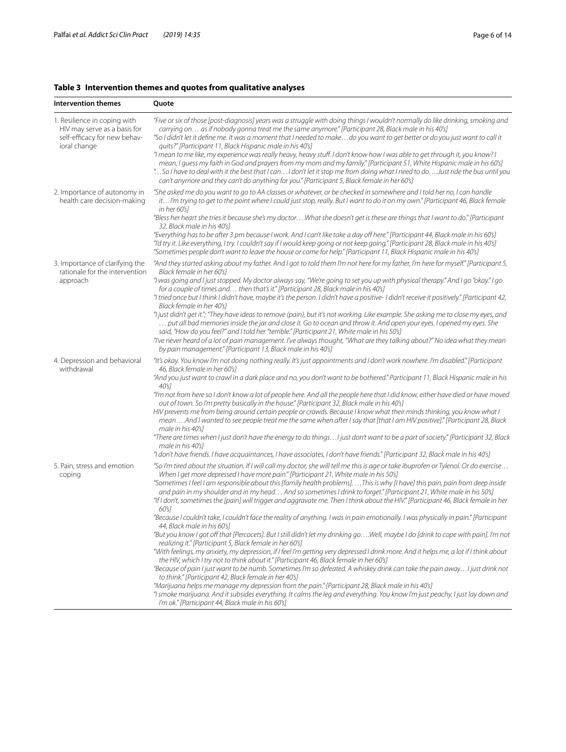### <span id="page-5-0"></span>**Table 3 Intervention themes and quotes from qualitative analyses**

| <b>Intervention themes</b>                                                                                   | <b>Ouote</b>                                                                                                                                                                                                                                                                                                                                                                                                                                                                                                                                                                                                                                                                                                                                                                                                                                                                                                                                                                                                                                                                                                                                                                                                                                                                                                                                                                                                                                                                                                                                                                                                                                                                                                                                 |
|--------------------------------------------------------------------------------------------------------------|----------------------------------------------------------------------------------------------------------------------------------------------------------------------------------------------------------------------------------------------------------------------------------------------------------------------------------------------------------------------------------------------------------------------------------------------------------------------------------------------------------------------------------------------------------------------------------------------------------------------------------------------------------------------------------------------------------------------------------------------------------------------------------------------------------------------------------------------------------------------------------------------------------------------------------------------------------------------------------------------------------------------------------------------------------------------------------------------------------------------------------------------------------------------------------------------------------------------------------------------------------------------------------------------------------------------------------------------------------------------------------------------------------------------------------------------------------------------------------------------------------------------------------------------------------------------------------------------------------------------------------------------------------------------------------------------------------------------------------------------|
| 1. Resilience in coping with<br>HIV may serve as a basis for<br>self-efficacy for new behav-<br>ioral change | "Five or six of those [post-diagnosis] years was a struggle with doing things I wouldn't normally do like drinking, smoking and<br>carrying on as if nobody gonna treat me the same anymore." [Participant 28, Black male in his 40's]<br>"So I didn't let it define me. It was a moment that I needed to makedo you want to get better or do you just want to call it<br>quits?" [Participant 11, Black Hispanic male in his 40's]<br>"I mean to me like, my experience was really heavy, heavy stuff. I don't know how I was able to get through it, you know? I<br>mean, I guess my faith in God and prayers from my mom and my family." [Participant 51, White Hispanic male in his 60's]<br>So I have to deal with it the best that I canI don't let it stop me from doing what I need to doJust ride the bus until you"<br>can't anymore and they can't do anything for you." [Participant 5, Black female in her 60's]                                                                                                                                                                                                                                                                                                                                                                                                                                                                                                                                                                                                                                                                                                                                                                                                                |
| 2. Importance of autonomy in<br>health care decision-making                                                  | "She asked me do you want to go to AA classes or whatever, or be checked in somewhere and I told her no, I can handle<br>itI'm trying to get to the point where I could just stop, really. But I want to do it on my own." [Participant 46, Black female<br>in her 60's]<br>"Bless her heart she tries it because she's my doctorWhat she doesn't get is these are things that I want to do." [Participant<br>32, Black male in his 40's]<br>"Everything has to be after 3 pm because I work. And I can't like take a day off here." [Participant 44, Black male in his 60's]<br>"I'd try it. Like everything, I try. I couldn't say if I would keep going or not keep going." [Participant 28, Black male in his 40's]<br>"Sometimes people don't want to leave the house or come for help." [Participant 11, Black Hispanic male in his 40's]                                                                                                                                                                                                                                                                                                                                                                                                                                                                                                                                                                                                                                                                                                                                                                                                                                                                                              |
| 3. Importance of clarifying the<br>rationale for the intervention<br>approach                                | "And they started asking about my father. And I got to told them I'm not here for my father, I'm here for myself." [Participant 5,<br>Black female in her 60's]<br>"I was going and I just stopped. My doctor always say, "We're going to set you up with physical therapy." And I go "okay." I go<br>for a couple of times and then that's it." [Participant 28, Black male in his 40's]<br>"I tried once but I think I didn't have, maybe it's the person. I didn't have a positive- I didn't receive it positively." [Participant 42,<br>Black female in her 40's]<br>"I just didn't get it."; "They have ideas to remove (pain), but it's not working. Like example. She asking me to close my eyes, and<br>put all bad memories inside the jar and close it. Go to ocean and throw it. And open your eyes. I opened my eyes. She<br>said, "How do you feel?" and I told her "terrible." [Participant 21, White male in his 50's]<br>"I've never heard of a lot of pain management. I've always thought, "What are they talking about?" No idea what they mean<br>by pain management." [Participant 13, Black male in his 40's]                                                                                                                                                                                                                                                                                                                                                                                                                                                                                                                                                                                                          |
| 4. Depression and behavioral<br>withdrawal                                                                   | "It's okay. You know I'm not doing nothing really. It's just appointments and I don't work nowhere. I'm disabled." [Participant<br>46, Black female in her 60's]<br>"And you just want to crawl in a dark place and no, you don't want to be bothered." Participant 11, Black Hispanic male in his<br>$40's$ ]<br>"I'm not from here so I don't know a lot of people here. And all the people here that I did know, either have died or have moved<br>out of town. So I'm pretty basically in the house." [Participant 32, Black male in his 40's]<br>HIV prevents me from being around certain people or crowds. Because I know what their minds thinking, you know what I<br>meanAnd I wanted to see people treat me the same when after I say that [that I am HIV positive]." [Participant 28, Black<br>male in his 40's]<br>"There are times when I just don't have the energy to do thingsI just don't want to be a part of society." [Participant 32, Black<br>male in his 40's]<br>"I don't have friends. I have acquaintances, I have associates, I don't have friends." [Participant 32, Black male in his 40's]                                                                                                                                                                                                                                                                                                                                                                                                                                                                                                                                                                                                                    |
| 5. Pain, stress and emotion<br>coping                                                                        | "So I'm tired about the situation. If I will call my doctor, she will tell me this is age or take ibuprofen or Tylenol. Or do exercise<br>When I get more depressed I have more pain." [Participant 21, White male in his 50's]<br>"Sometimes I feel I am responsible about this [family health problems]. This is why [I have] this pain, pain from deep inside<br>and pain in my shoulder and in my head And so sometimes I drink to forget." [Participant 21, White male in his 50's]<br>"If I don't, sometimes the [pain] will trigger and aggravate me. Then I think about the HIV." [Participant 46, Black female in her<br>$60's$ ]<br>"Because I couldn't take, I couldn't face the reality of anything. I was in pain emotionally. I was physically in pain." [Participant<br>44, Black male in his 60's]<br>"But you know I got off that [Percocets]. But I still didn't let my drinking goWell, maybe I do [drink to cope with pain]. I'm not<br>realizing it." [Participant 5, Black female in her 60's]<br>"With feelings, my anxiety, my depression, if I feel I'm getting very depressed I drink more. And it helps me, a lot if I think about<br>the HIV, which I try not to think about it." [Participant 46, Black female in her 60's]<br>"Because of pain I just want to be numb. Sometimes I'm so defeated. A whiskey drink can take the pain away I just drink not<br>to think." [Participant 42, Black female in her 40's]<br>"Marijuana helps me manage my depression from the pain." [Participant 28, Black male in his 40's]<br>"I smoke marijuana. And it subsides everything. It calms the leg and everything. You know I'm just peachy. I just lay down and<br>I'm ok." [Participant 44, Black male in his 60's] |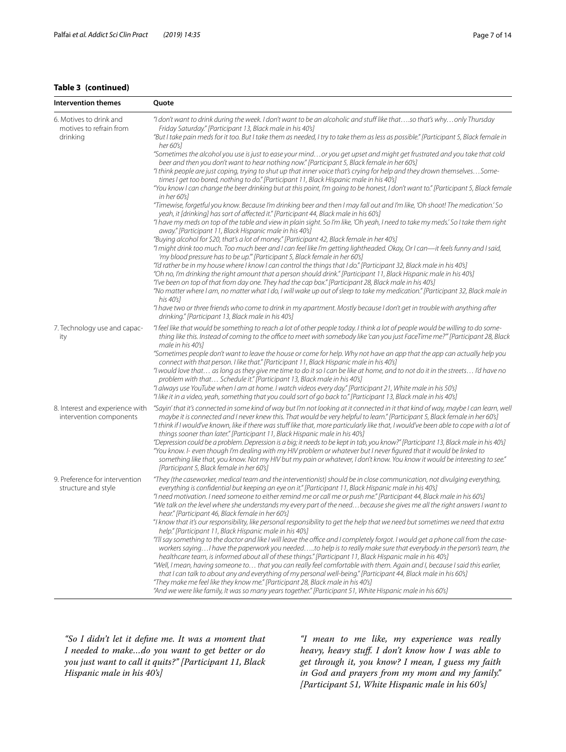#### **Table 3 (continued)**

| <b>Intervention themes</b>                                     | Quote                                                                                                                                                                                                                                                                                                                                                                                                                                                                                                                                                                                                                                                                                                                                                                                                                                                                                                                                                                                                                                                                                                                                                                                                                                                                                                                                                                                                                                                                                                                                                                              |
|----------------------------------------------------------------|------------------------------------------------------------------------------------------------------------------------------------------------------------------------------------------------------------------------------------------------------------------------------------------------------------------------------------------------------------------------------------------------------------------------------------------------------------------------------------------------------------------------------------------------------------------------------------------------------------------------------------------------------------------------------------------------------------------------------------------------------------------------------------------------------------------------------------------------------------------------------------------------------------------------------------------------------------------------------------------------------------------------------------------------------------------------------------------------------------------------------------------------------------------------------------------------------------------------------------------------------------------------------------------------------------------------------------------------------------------------------------------------------------------------------------------------------------------------------------------------------------------------------------------------------------------------------------|
| 6. Motives to drink and<br>motives to refrain from<br>drinking | "I don't want to drink during the week. I don't want to be an alcoholic and stuff like thatso that's whyonly Thursday<br>Friday Saturday." [Participant 13, Black male in his 40's]<br>"But I take pain meds for it too. But I take them as needed, I try to take them as less as possible." [Participant 5, Black female in<br>her 60's]                                                                                                                                                                                                                                                                                                                                                                                                                                                                                                                                                                                                                                                                                                                                                                                                                                                                                                                                                                                                                                                                                                                                                                                                                                          |
|                                                                | "Sometimes the alcohol you use is just to ease your mindor you get upset and might get frustrated and you take that cold<br>beer and then you don't want to hear nothing now." [Participant 5, Black female in her 60's]<br>"I think people are just coping, trying to shut up that inner voice that's crying for help and they drown themselves Some-                                                                                                                                                                                                                                                                                                                                                                                                                                                                                                                                                                                                                                                                                                                                                                                                                                                                                                                                                                                                                                                                                                                                                                                                                             |
|                                                                | times I get too bored, nothing to do." [Participant 11, Black Hispanic male in his 40's]<br>"You know I can change the beer drinking but at this point, I'm going to be honest, I don't want to." [Participant 5, Black female<br>in her $60\%$                                                                                                                                                                                                                                                                                                                                                                                                                                                                                                                                                                                                                                                                                                                                                                                                                                                                                                                                                                                                                                                                                                                                                                                                                                                                                                                                    |
|                                                                | "Timewise, forgetful you know. Because I'm drinking beer and then I may fall out and I'm like, 'Oh shoot! The medication.' So<br>yeah, it [drinking] has sort of affected it." [Participant 44, Black male in his 60's]<br>"I have my meds on top of the table and view in plain sight. So I'm like, 'Oh yeah, I need to take my meds.' So I take them right                                                                                                                                                                                                                                                                                                                                                                                                                                                                                                                                                                                                                                                                                                                                                                                                                                                                                                                                                                                                                                                                                                                                                                                                                       |
|                                                                | away." [Participant 11, Black Hispanic male in his 40's]                                                                                                                                                                                                                                                                                                                                                                                                                                                                                                                                                                                                                                                                                                                                                                                                                                                                                                                                                                                                                                                                                                                                                                                                                                                                                                                                                                                                                                                                                                                           |
|                                                                | "Buying alcohol for \$20, that's a lot of money." [Participant 42, Black female in her 40's]<br>"I might drink too much. Too much beer and I can feel like I'm getting lightheaded. Okay, Or I can—it feels funny and I said,<br>'my blood pressure has to be up."" [Participant 5, Black female in her 60's]                                                                                                                                                                                                                                                                                                                                                                                                                                                                                                                                                                                                                                                                                                                                                                                                                                                                                                                                                                                                                                                                                                                                                                                                                                                                      |
|                                                                | "I'd rather be in my house where I know I can control the things that I do." [Participant 32, Black male in his 40's]<br>"Oh no, I'm drinking the right amount that a person should drink." [Participant 11, Black Hispanic male in his 40's]<br>"I've been on top of that from day one. They had the cap box." [Participant 28, Black male in his 40's]<br>"No matter where I am, no matter what I do, I will wake up out of sleep to take my medication." [Participant 32, Black male in                                                                                                                                                                                                                                                                                                                                                                                                                                                                                                                                                                                                                                                                                                                                                                                                                                                                                                                                                                                                                                                                                         |
|                                                                | his 40's]<br>"I have two or three friends who come to drink in my apartment. Mostly because I don't get in trouble with anything after<br>drinking." [Participant 13, Black male in his 40's]                                                                                                                                                                                                                                                                                                                                                                                                                                                                                                                                                                                                                                                                                                                                                                                                                                                                                                                                                                                                                                                                                                                                                                                                                                                                                                                                                                                      |
| 7. Technology use and capac-<br>ity                            | "I feel like that would be something to reach a lot of other people today. I think a lot of people would be willing to do some-<br>thing like this. Instead of coming to the office to meet with somebody like 'can you just FaceTime me?'" [Participant 28, Black<br>male in his 40's]                                                                                                                                                                                                                                                                                                                                                                                                                                                                                                                                                                                                                                                                                                                                                                                                                                                                                                                                                                                                                                                                                                                                                                                                                                                                                            |
|                                                                | "Sometimes people don't want to leave the house or come for help. Why not have an app that the app can actually help you<br>connect with that person. I like that." [Participant 11, Black Hispanic male in his 40's]<br>"I would love that as long as they give me time to do it so I can be like at home, and to not do it in the streets I'd have no<br>problem with that Schedule it." [Participant 13, Black male in his 40's]<br>"I always use YouTube when I am at home. I watch videos every day." [Participant 21, White male in his 50's]                                                                                                                                                                                                                                                                                                                                                                                                                                                                                                                                                                                                                                                                                                                                                                                                                                                                                                                                                                                                                                |
|                                                                | "I like it in a video, yeah, something that you could sort of go back to." [Participant 13, Black male in his 40's]                                                                                                                                                                                                                                                                                                                                                                                                                                                                                                                                                                                                                                                                                                                                                                                                                                                                                                                                                                                                                                                                                                                                                                                                                                                                                                                                                                                                                                                                |
| 8. Interest and experience with<br>intervention components     | "Sayin' that it's connected in some kind of way but I'm not looking at it connected in it that kind of way, maybe I can learn, well<br>maybe it is connected and I never knew this. That would be very helpful to learn." [Participant 5, Black female in her 60's]<br>"I think if I would've known, like if there was stuff like that, more particularly like that, I would've been able to cope with a lot of<br>things sooner than later." [Participant 11, Black Hispanic male in his 40's]<br>"Depression could be a problem. Depression is a big; it needs to be kept in tab, you know?" [Participant 13, Black male in his 40's]<br>"You know. I- even though I'm dealing with my HIV problem or whatever but I never figured that it would be linked to<br>something like that, you know. Not my HIV but my pain or whatever, I don't know. You know it would be interesting to see."<br>[Participant 5, Black female in her 60's]                                                                                                                                                                                                                                                                                                                                                                                                                                                                                                                                                                                                                                         |
| 9. Preference for intervention<br>structure and style          | "They (the caseworker, medical team and the interventionist) should be in close communication, not divulging everything,<br>everything is confidential but keeping an eye on it." [Participant 11, Black Hispanic male in his 40's]<br>"I need motivation. I need someone to either remind me or call me or push me." [Participant 44, Black male in his 60's]<br>"We talk on the level where she understands my every part of the needbecause she gives me all the right answers I want to<br>hear." [Participant 46, Black female in her 60's]<br>"I know that it's our responsibility, like personal responsibility to get the help that we need but sometimes we need that extra<br>help." [Participant 11, Black Hispanic male in his 40's]<br>"I'll say something to the doctor and like I will leave the office and I completely forgot. I would get a phone call from the case-<br>workers saying I have the paperwork you neededto help is to really make sure that everybody in the person's team, the<br>healthcare team, is informed about all of these things." [Participant 11, Black Hispanic male in his 40's]<br>"Well, I mean, having someone to that you can really feel comfortable with them. Again and I, because I said this earlier,<br>that I can talk to about any and everything of my personal well-being." [Participant 44, Black male in his 60's]<br>"They make me feel like they know me." [Participant 28, Black male in his 40's]<br>"And we were like family, It was so many years together." [Participant 51, White Hispanic male in his 60's] |

*"So I didn't let it defne me. It was a moment that I needed to make…do you want to get better or do you just want to call it quits?" [Participant 11, Black Hispanic male in his 40's]*

*"I mean to me like, my experience was really heavy, heavy stuf. I don't know how I was able to get through it, you know? I mean, I guess my faith in God and prayers from my mom and my family." [Participant 51, White Hispanic male in his 60's]*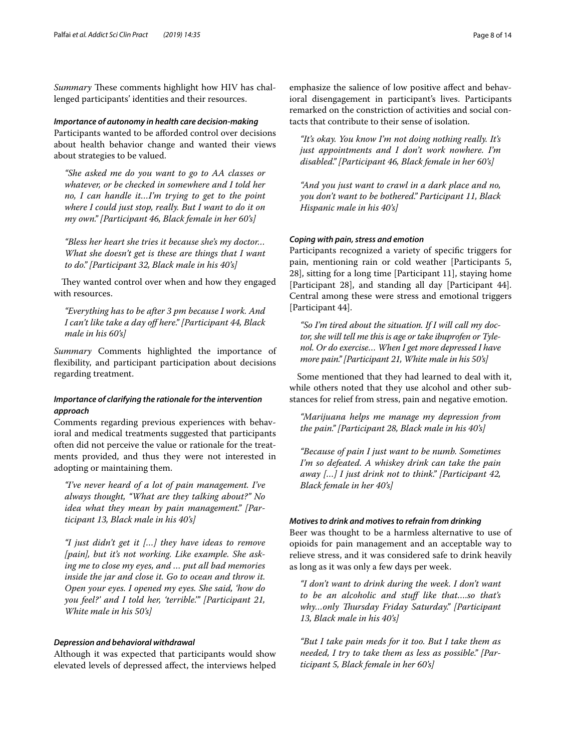*Summary* These comments highlight how HIV has challenged participants' identities and their resources.

#### *Importance of autonomy in health care decision‑making*

Participants wanted to be aforded control over decisions about health behavior change and wanted their views about strategies to be valued.

*"She asked me do you want to go to AA classes or whatever, or be checked in somewhere and I told her no, I can handle it…I'm trying to get to the point where I could just stop, really. But I want to do it on my own." [Participant 46, Black female in her 60's]*

*"Bless her heart she tries it because she's my doctor… What she doesn't get is these are things that I want to do." [Participant 32, Black male in his 40's]*

They wanted control over when and how they engaged with resources.

*"Everything has to be after 3 pm because I work. And I can't like take a day of here." [Participant 44, Black male in his 60's]*

*Summary* Comments highlighted the importance of fexibility, and participant participation about decisions regarding treatment.

#### *Importance of clarifying the rationale for the intervention approach*

Comments regarding previous experiences with behavioral and medical treatments suggested that participants often did not perceive the value or rationale for the treatments provided, and thus they were not interested in adopting or maintaining them.

*"I've never heard of a lot of pain management. I've always thought, "What are they talking about?" No idea what they mean by pain management." [Participant 13, Black male in his 40's]*

*"I just didn't get it […] they have ideas to remove [pain], but it's not working. Like example. She asking me to close my eyes, and … put all bad memories inside the jar and close it. Go to ocean and throw it. Open your eyes. I opened my eyes. She said, 'how do you feel?' and I told her, 'terrible.'" [Participant 21, White male in his 50's]*

#### *Depression and behavioral withdrawal*

Although it was expected that participants would show elevated levels of depressed afect, the interviews helped

emphasize the salience of low positive afect and behavioral disengagement in participant's lives. Participants remarked on the constriction of activities and social contacts that contribute to their sense of isolation.

*"It's okay. You know I'm not doing nothing really. It's just appointments and I don't work nowhere. I'm disabled." [Participant 46, Black female in her 60's]*

*"And you just want to crawl in a dark place and no, you don't want to be bothered." Participant 11, Black Hispanic male in his 40's]*

#### *Coping with pain, stress and emotion*

Participants recognized a variety of specifc triggers for pain, mentioning rain or cold weather [Participants 5, 28], sitting for a long time [Participant 11], staying home [Participant 28], and standing all day [Participant 44]. Central among these were stress and emotional triggers [Participant 44].

*"So I'm tired about the situation. If I will call my doctor, she will tell me this is age or take ibuprofen or Tylenol. Or do exercise… When I get more depressed I have more pain." [Participant 21, White male in his 50's]*

Some mentioned that they had learned to deal with it, while others noted that they use alcohol and other substances for relief from stress, pain and negative emotion.

*"Marijuana helps me manage my depression from the pain." [Participant 28, Black male in his 40's]*

*"Because of pain I just want to be numb. Sometimes I'm so defeated. A whiskey drink can take the pain away […] I just drink not to think." [Participant 42, Black female in her 40's]*

#### *Motives to drink and motives to refrain from drinking*

Beer was thought to be a harmless alternative to use of opioids for pain management and an acceptable way to relieve stress, and it was considered safe to drink heavily as long as it was only a few days per week.

*"I don't want to drink during the week. I don't want to be an alcoholic and stuf like that….so that's why…only Tursday Friday Saturday." [Participant 13, Black male in his 40's]*

*"But I take pain meds for it too. But I take them as needed, I try to take them as less as possible." [Participant 5, Black female in her 60's]*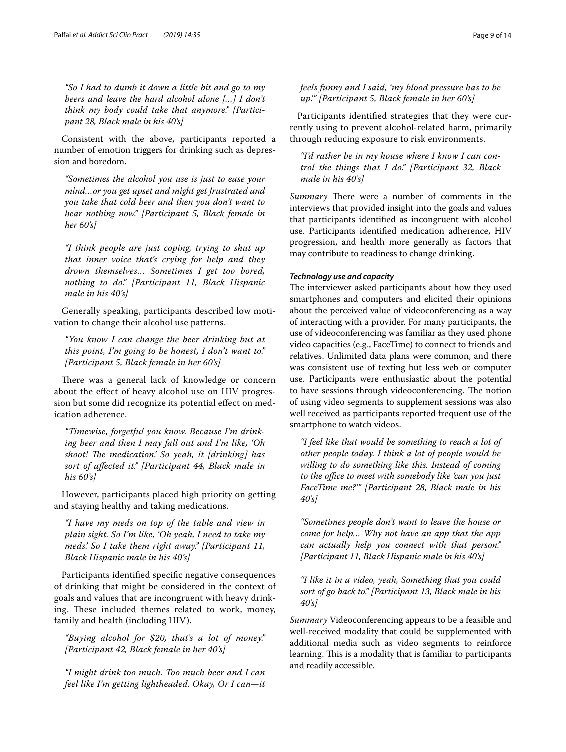*"So I had to dumb it down a little bit and go to my beers and leave the hard alcohol alone […] I don't think my body could take that anymore." [Participant 28, Black male in his 40's]*

Consistent with the above, participants reported a number of emotion triggers for drinking such as depression and boredom.

*"Sometimes the alcohol you use is just to ease your mind…or you get upset and might get frustrated and you take that cold beer and then you don't want to hear nothing now." [Participant 5, Black female in her 60's]*

*"I think people are just coping, trying to shut up that inner voice that's crying for help and they drown themselves… Sometimes I get too bored, nothing to do." [Participant 11, Black Hispanic male in his 40's]*

Generally speaking, participants described low motivation to change their alcohol use patterns.

*"You know I can change the beer drinking but at this point, I'm going to be honest, I don't want to." [Participant 5, Black female in her 60's]*

There was a general lack of knowledge or concern about the efect of heavy alcohol use on HIV progression but some did recognize its potential efect on medication adherence.

*"Timewise, forgetful you know. Because I'm drinking beer and then I may fall out and I'm like, 'Oh*  shoot! The medication.' So yeah, it [drinking] has *sort of afected it." [Participant 44, Black male in his 60's]*

However, participants placed high priority on getting and staying healthy and taking medications.

*"I have my meds on top of the table and view in plain sight. So I'm like, 'Oh yeah, I need to take my meds.' So I take them right away." [Participant 11, Black Hispanic male in his 40's]*

Participants identifed specifc negative consequences of drinking that might be considered in the context of goals and values that are incongruent with heavy drinking. These included themes related to work, money, family and health (including HIV).

*"Buying alcohol for \$20, that's a lot of money." [Participant 42, Black female in her 40's]*

*"I might drink too much. Too much beer and I can feel like I'm getting lightheaded. Okay, Or I can—it* 

#### *feels funny and I said, 'my blood pressure has to be up.'" [Participant 5, Black female in her 60's]*

Participants identifed strategies that they were currently using to prevent alcohol-related harm, primarily through reducing exposure to risk environments.

*"I'd rather be in my house where I know I can control the things that I do." [Participant 32, Black male in his 40's]*

*Summary* There were a number of comments in the interviews that provided insight into the goals and values that participants identifed as incongruent with alcohol use. Participants identifed medication adherence, HIV progression, and health more generally as factors that may contribute to readiness to change drinking.

#### *Technology use and capacity*

The interviewer asked participants about how they used smartphones and computers and elicited their opinions about the perceived value of videoconferencing as a way of interacting with a provider. For many participants, the use of videoconferencing was familiar as they used phone video capacities (e.g., FaceTime) to connect to friends and relatives. Unlimited data plans were common, and there was consistent use of texting but less web or computer use. Participants were enthusiastic about the potential to have sessions through videoconferencing. The notion of using video segments to supplement sessions was also well received as participants reported frequent use of the smartphone to watch videos.

*"I feel like that would be something to reach a lot of other people today. I think a lot of people would be willing to do something like this. Instead of coming*  to the office to meet with somebody like 'can you just *FaceTime me?'" [Participant 28, Black male in his 40's]*

*"Sometimes people don't want to leave the house or come for help… Why not have an app that the app can actually help you connect with that person." [Participant 11, Black Hispanic male in his 40's]*

*"I like it in a video, yeah, Something that you could sort of go back to." [Participant 13, Black male in his 40's]*

*Summary* Videoconferencing appears to be a feasible and well-received modality that could be supplemented with additional media such as video segments to reinforce learning. This is a modality that is familiar to participants and readily accessible.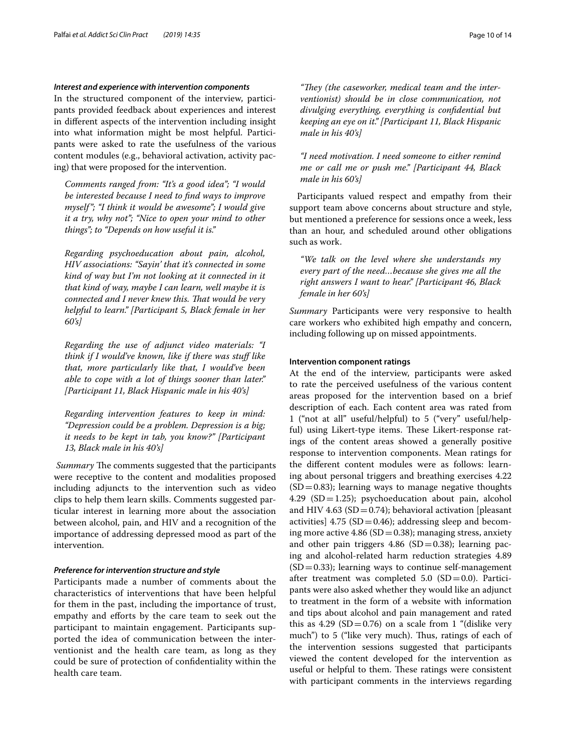#### *Interest and experience with intervention components*

In the structured component of the interview, participants provided feedback about experiences and interest in diferent aspects of the intervention including insight into what information might be most helpful. Participants were asked to rate the usefulness of the various content modules (e.g., behavioral activation, activity pacing) that were proposed for the intervention.

*Comments ranged from: "It's a good idea"; "I would be interested because I need to fnd ways to improve myself"; "I think it would be awesome"; I would give it a try, why not"; "Nice to open your mind to other things"; to "Depends on how useful it is."*

*Regarding psychoeducation about pain, alcohol, HIV associations: "Sayin' that it's connected in some kind of way but I'm not looking at it connected in it that kind of way, maybe I can learn, well maybe it is connected and I never knew this. Tat would be very helpful to learn." [Participant 5, Black female in her 60's]*

*Regarding the use of adjunct video materials: "I think if I would've known, like if there was stuf like that, more particularly like that, I would've been able to cope with a lot of things sooner than later." [Participant 11, Black Hispanic male in his 40's]*

*Regarding intervention features to keep in mind: "Depression could be a problem. Depression is a big; it needs to be kept in tab, you know?" [Participant 13, Black male in his 40's]*

*Summary* The comments suggested that the participants were receptive to the content and modalities proposed including adjuncts to the intervention such as video clips to help them learn skills. Comments suggested particular interest in learning more about the association between alcohol, pain, and HIV and a recognition of the importance of addressing depressed mood as part of the intervention.

#### *Preference for intervention structure and style*

Participants made a number of comments about the characteristics of interventions that have been helpful for them in the past, including the importance of trust, empathy and eforts by the care team to seek out the participant to maintain engagement. Participants supported the idea of communication between the interventionist and the health care team, as long as they could be sure of protection of confdentiality within the health care team.

"They (the caseworker, medical team and the inter*ventionist) should be in close communication, not divulging everything, everything is confdential but keeping an eye on it." [Participant 11, Black Hispanic male in his 40's]*

*"I need motivation. I need someone to either remind me or call me or push me." [Participant 44, Black male in his 60's]*

Participants valued respect and empathy from their support team above concerns about structure and style, but mentioned a preference for sessions once a week, less than an hour, and scheduled around other obligations such as work.

*"We talk on the level where she understands my every part of the need…because she gives me all the right answers I want to hear." [Participant 46, Black female in her 60's]*

*Summary* Participants were very responsive to health care workers who exhibited high empathy and concern, including following up on missed appointments.

#### **Intervention component ratings**

At the end of the interview, participants were asked to rate the perceived usefulness of the various content areas proposed for the intervention based on a brief description of each. Each content area was rated from 1 ("not at all" useful/helpful) to 5 ("very" useful/helpful) using Likert-type items. These Likert-response ratings of the content areas showed a generally positive response to intervention components. Mean ratings for the diferent content modules were as follows: learning about personal triggers and breathing exercises 4.22  $(SD = 0.83)$ ; learning ways to manage negative thoughts 4.29 (SD=1.25); psychoeducation about pain, alcohol and HIV 4.63 (SD = 0.74); behavioral activation [pleasant activities]  $4.75$  (SD=0.46); addressing sleep and becoming more active 4.86 ( $SD = 0.38$ ); managing stress, anxiety and other pain triggers  $4.86$  (SD=0.38); learning pacing and alcohol-related harm reduction strategies 4.89  $(SD=0.33)$ ; learning ways to continue self-management after treatment was completed 5.0  $(SD=0.0)$ . Participants were also asked whether they would like an adjunct to treatment in the form of a website with information and tips about alcohol and pain management and rated this as 4.29 (SD=0.76) on a scale from 1 "(dislike very much") to 5 ("like very much). Thus, ratings of each of the intervention sessions suggested that participants viewed the content developed for the intervention as useful or helpful to them. These ratings were consistent with participant comments in the interviews regarding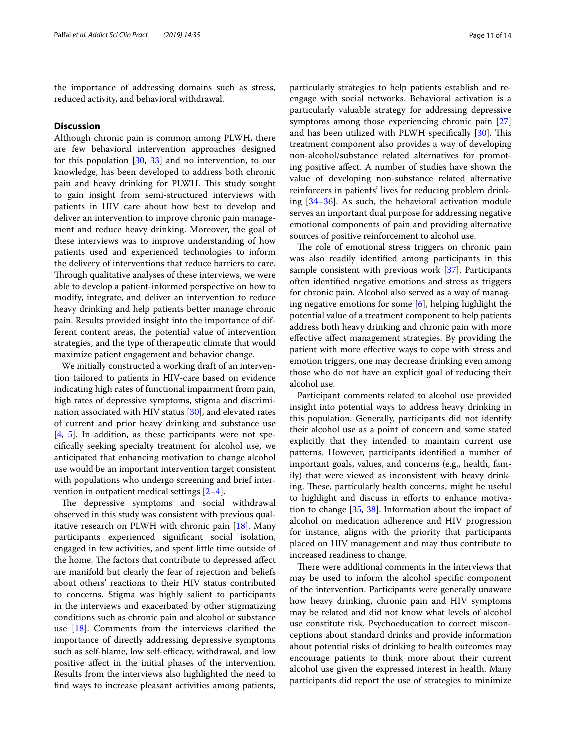the importance of addressing domains such as stress, reduced activity, and behavioral withdrawal.

### **Discussion**

Although chronic pain is common among PLWH, there are few behavioral intervention approaches designed for this population [\[30](#page-13-18), [33\]](#page-13-21) and no intervention, to our knowledge, has been developed to address both chronic pain and heavy drinking for PLWH. This study sought to gain insight from semi-structured interviews with patients in HIV care about how best to develop and deliver an intervention to improve chronic pain management and reduce heavy drinking. Moreover, the goal of these interviews was to improve understanding of how patients used and experienced technologies to inform the delivery of interventions that reduce barriers to care. Through qualitative analyses of these interviews, we were able to develop a patient-informed perspective on how to modify, integrate, and deliver an intervention to reduce heavy drinking and help patients better manage chronic pain. Results provided insight into the importance of different content areas, the potential value of intervention strategies, and the type of therapeutic climate that would maximize patient engagement and behavior change.

We initially constructed a working draft of an intervention tailored to patients in HIV-care based on evidence indicating high rates of functional impairment from pain, high rates of depressive symptoms, stigma and discrimination associated with HIV status [[30\]](#page-13-18), and elevated rates of current and prior heavy drinking and substance use [[4,](#page-12-2) [5](#page-12-3)]. In addition, as these participants were not specifcally seeking specialty treatment for alcohol use, we anticipated that enhancing motivation to change alcohol use would be an important intervention target consistent with populations who undergo screening and brief intervention in outpatient medical settings [\[2](#page-12-1)[–4](#page-12-2)].

The depressive symptoms and social withdrawal observed in this study was consistent with previous qualitative research on PLWH with chronic pain [[18](#page-13-7)]. Many participants experienced signifcant social isolation, engaged in few activities, and spent little time outside of the home. The factors that contribute to depressed affect are manifold but clearly the fear of rejection and beliefs about others' reactions to their HIV status contributed to concerns. Stigma was highly salient to participants in the interviews and exacerbated by other stigmatizing conditions such as chronic pain and alcohol or substance use [[18](#page-13-7)]. Comments from the interviews clarifed the importance of directly addressing depressive symptoms such as self-blame, low self-efficacy, withdrawal, and low positive afect in the initial phases of the intervention. Results from the interviews also highlighted the need to fnd ways to increase pleasant activities among patients,

particularly strategies to help patients establish and reengage with social networks. Behavioral activation is a particularly valuable strategy for addressing depressive symptoms among those experiencing chronic pain [[27](#page-13-15)] and has been utilized with PLWH specifically [\[30](#page-13-18)]. This treatment component also provides a way of developing non-alcohol/substance related alternatives for promoting positive afect. A number of studies have shown the value of developing non-substance related alternative reinforcers in patients' lives for reducing problem drinking  $[34-36]$  $[34-36]$  $[34-36]$ . As such, the behavioral activation module serves an important dual purpose for addressing negative emotional components of pain and providing alternative sources of positive reinforcement to alcohol use.

The role of emotional stress triggers on chronic pain was also readily identifed among participants in this sample consistent with previous work [\[37](#page-13-24)]. Participants often identifed negative emotions and stress as triggers for chronic pain. Alcohol also served as a way of managing negative emotions for some  $[6]$  $[6]$ , helping highlight the potential value of a treatment component to help patients address both heavy drinking and chronic pain with more efective afect management strategies. By providing the patient with more efective ways to cope with stress and emotion triggers, one may decrease drinking even among those who do not have an explicit goal of reducing their alcohol use.

Participant comments related to alcohol use provided insight into potential ways to address heavy drinking in this population. Generally, participants did not identify their alcohol use as a point of concern and some stated explicitly that they intended to maintain current use patterns. However, participants identifed a number of important goals, values, and concerns (e.g., health, family) that were viewed as inconsistent with heavy drinking. These, particularly health concerns, might be useful to highlight and discuss in efforts to enhance motivation to change [[35](#page-13-25), [38\]](#page-13-26). Information about the impact of alcohol on medication adherence and HIV progression for instance, aligns with the priority that participants placed on HIV management and may thus contribute to increased readiness to change.

There were additional comments in the interviews that may be used to inform the alcohol specifc component of the intervention. Participants were generally unaware how heavy drinking, chronic pain and HIV symptoms may be related and did not know what levels of alcohol use constitute risk. Psychoeducation to correct misconceptions about standard drinks and provide information about potential risks of drinking to health outcomes may encourage patients to think more about their current alcohol use given the expressed interest in health. Many participants did report the use of strategies to minimize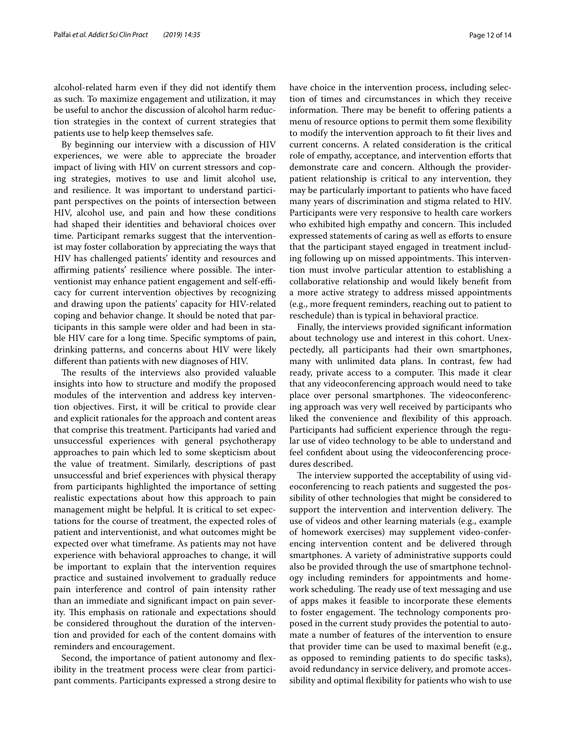alcohol-related harm even if they did not identify them as such. To maximize engagement and utilization, it may be useful to anchor the discussion of alcohol harm reduction strategies in the context of current strategies that patients use to help keep themselves safe.

By beginning our interview with a discussion of HIV experiences, we were able to appreciate the broader impact of living with HIV on current stressors and coping strategies, motives to use and limit alcohol use, and resilience. It was important to understand participant perspectives on the points of intersection between HIV, alcohol use, and pain and how these conditions had shaped their identities and behavioral choices over time. Participant remarks suggest that the interventionist may foster collaboration by appreciating the ways that HIV has challenged patients' identity and resources and affirming patients' resilience where possible. The interventionist may enhance patient engagement and self-efficacy for current intervention objectives by recognizing and drawing upon the patients' capacity for HIV-related coping and behavior change. It should be noted that participants in this sample were older and had been in stable HIV care for a long time. Specifc symptoms of pain, drinking patterns, and concerns about HIV were likely diferent than patients with new diagnoses of HIV.

The results of the interviews also provided valuable insights into how to structure and modify the proposed modules of the intervention and address key intervention objectives. First, it will be critical to provide clear and explicit rationales for the approach and content areas that comprise this treatment. Participants had varied and unsuccessful experiences with general psychotherapy approaches to pain which led to some skepticism about the value of treatment. Similarly, descriptions of past unsuccessful and brief experiences with physical therapy from participants highlighted the importance of setting realistic expectations about how this approach to pain management might be helpful. It is critical to set expectations for the course of treatment, the expected roles of patient and interventionist, and what outcomes might be expected over what timeframe. As patients may not have experience with behavioral approaches to change, it will be important to explain that the intervention requires practice and sustained involvement to gradually reduce pain interference and control of pain intensity rather than an immediate and signifcant impact on pain severity. This emphasis on rationale and expectations should be considered throughout the duration of the intervention and provided for each of the content domains with reminders and encouragement.

Second, the importance of patient autonomy and fexibility in the treatment process were clear from participant comments. Participants expressed a strong desire to have choice in the intervention process, including selection of times and circumstances in which they receive information. There may be benefit to offering patients a menu of resource options to permit them some fexibility to modify the intervention approach to ft their lives and current concerns. A related consideration is the critical role of empathy, acceptance, and intervention eforts that demonstrate care and concern. Although the providerpatient relationship is critical to any intervention, they may be particularly important to patients who have faced many years of discrimination and stigma related to HIV. Participants were very responsive to health care workers who exhibited high empathy and concern. This included expressed statements of caring as well as eforts to ensure that the participant stayed engaged in treatment including following up on missed appointments. This intervention must involve particular attention to establishing a collaborative relationship and would likely beneft from a more active strategy to address missed appointments (e.g., more frequent reminders, reaching out to patient to reschedule) than is typical in behavioral practice.

Finally, the interviews provided signifcant information about technology use and interest in this cohort. Unexpectedly, all participants had their own smartphones, many with unlimited data plans. In contrast, few had ready, private access to a computer. This made it clear that any videoconferencing approach would need to take place over personal smartphones. The videoconferencing approach was very well received by participants who liked the convenience and fexibility of this approach. Participants had sufficient experience through the regular use of video technology to be able to understand and feel confdent about using the videoconferencing procedures described.

The interview supported the acceptability of using videoconferencing to reach patients and suggested the possibility of other technologies that might be considered to support the intervention and intervention delivery. The use of videos and other learning materials (e.g., example of homework exercises) may supplement video-conferencing intervention content and be delivered through smartphones. A variety of administrative supports could also be provided through the use of smartphone technology including reminders for appointments and homework scheduling. The ready use of text messaging and use of apps makes it feasible to incorporate these elements to foster engagement. The technology components proposed in the current study provides the potential to automate a number of features of the intervention to ensure that provider time can be used to maximal beneft (e.g., as opposed to reminding patients to do specifc tasks), avoid redundancy in service delivery, and promote accessibility and optimal fexibility for patients who wish to use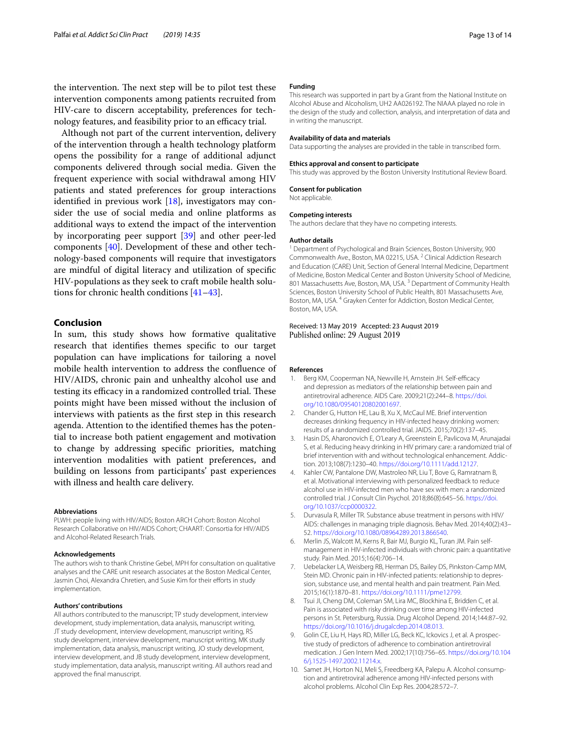the intervention. The next step will be to pilot test these intervention components among patients recruited from HIV-care to discern acceptability, preferences for technology features, and feasibility prior to an efficacy trial.

Although not part of the current intervention, delivery of the intervention through a health technology platform opens the possibility for a range of additional adjunct components delivered through social media. Given the frequent experience with social withdrawal among HIV patients and stated preferences for group interactions identifed in previous work [\[18\]](#page-13-7), investigators may consider the use of social media and online platforms as additional ways to extend the impact of the intervention by incorporating peer support [\[39](#page-13-27)] and other peer-led components [[40](#page-13-28)]. Development of these and other technology-based components will require that investigators are mindful of digital literacy and utilization of specifc HIV-populations as they seek to craft mobile health solutions for chronic health conditions [\[41](#page-13-29)[–43\]](#page-13-30).

#### **Conclusion**

In sum, this study shows how formative qualitative research that identifes themes specifc to our target population can have implications for tailoring a novel mobile health intervention to address the confuence of HIV/AIDS, chronic pain and unhealthy alcohol use and testing its efficacy in a randomized controlled trial. These points might have been missed without the inclusion of interviews with patients as the frst step in this research agenda. Attention to the identifed themes has the potential to increase both patient engagement and motivation to change by addressing specifc priorities, matching intervention modalities with patient preferences, and building on lessons from participants' past experiences with illness and health care delivery.

#### **Abbreviations**

PLWH: people living with HIV/AIDS; Boston ARCH Cohort: Boston Alcohol Research Collaborative on HIV/AIDS Cohort; CHAART: Consortia for HIV/AIDS and Alcohol-Related Research Trials.

#### **Acknowledgements**

The authors wish to thank Christine Gebel, MPH for consultation on qualitative analyses and the CARE unit research associates at the Boston Medical Center, Jasmin Choi, Alexandra Chretien, and Susie Kim for their efforts in study implementation.

#### **Authors' contributions**

All authors contributed to the manuscript; TP study development, interview development, study implementation, data analysis, manuscript writing, JT study development, interview development, manuscript writing, RS study development, interview development, manuscript writing, MK study implementation, data analysis, manuscript writing, JO study development, interview development, and JB study development, interview development, study implementation, data analysis, manuscript writing. All authors read and approved the fnal manuscript.

#### **Funding**

This research was supported in part by a Grant from the National Institute on Alcohol Abuse and Alcoholism, UH2 AA026192. The NIAAA played no role in the design of the study and collection, analysis, and interpretation of data and in writing the manuscript.

#### **Availability of data and materials**

Data supporting the analyses are provided in the table in transcribed form.

#### **Ethics approval and consent to participate**

This study was approved by the Boston University Institutional Review Board.

**Consent for publication**

Not applicable.

#### **Competing interests**

The authors declare that they have no competing interests.

#### **Author details**

<sup>1</sup> Department of Psychological and Brain Sciences, Boston University, 900 Commonwealth Ave., Boston, MA 02215, USA. <sup>2</sup> Clinical Addiction Research and Education (CARE) Unit, Section of General Internal Medicine, Department of Medicine, Boston Medical Center and Boston University School of Medicine, 801 Massachusetts Ave, Boston, MA, USA.<sup>3</sup> Department of Community Health Sciences, Boston University School of Public Health, 801 Massachusetts Ave, Boston, MA, USA. 4 Grayken Center for Addiction, Boston Medical Center, Boston, MA, USA.

#### Received: 13 May 2019 Accepted: 23 August 2019 Published online: 29 August 2019

#### **References**

- <span id="page-12-0"></span>Berg KM, Cooperman NA, Newville H, Arnstein JH. Self-efficacy and depression as mediators of the relationship between pain and antiretroviral adherence. AIDS Care. 2009;21(2):244–8. [https://doi.](https://doi.org/10.1080/09540120802001697) [org/10.1080/09540120802001697.](https://doi.org/10.1080/09540120802001697)
- <span id="page-12-1"></span>2. Chander G, Hutton HE, Lau B, Xu X, McCaul ME. Brief intervention decreases drinking frequency in HIV-infected heavy drinking women: results of a randomized controlled trial. JAIDS. 2015;70(2):137–45.
- <span id="page-12-9"></span>3. Hasin DS, Aharonovich E, O'Leary A, Greenstein E, Pavlicova M, Arunajadai S, et al. Reducing heavy drinking in HIV primary care: a randomized trial of brief intervention with and without technological enhancement. Addiction. 2013;108(7):1230–40.<https://doi.org/10.1111/add.12127>.
- <span id="page-12-2"></span>4. Kahler CW, Pantalone DW, Mastroleo NR, Liu T, Bove G, Ramratnam B, et al. Motivational interviewing with personalized feedback to reduce alcohol use in HIV-infected men who have sex with men: a randomized controlled trial. J Consult Clin Psychol. 2018;86(8):645–56. [https://doi.](https://doi.org/10.1037/ccp0000322) [org/10.1037/ccp0000322.](https://doi.org/10.1037/ccp0000322)
- <span id="page-12-3"></span>5. Durvasula R, Miller TR. Substance abuse treatment in persons with HIV/ AIDS: challenges in managing triple diagnosis. Behav Med. 2014;40(2):43– 52. <https://doi.org/10.1080/08964289.2013.866540>.
- <span id="page-12-4"></span>6. Merlin JS, Walcott M, Kerns R, Bair MJ, Burgio KL, Turan JM. Pain selfmanagement in HIV-infected individuals with chronic pain: a quantitative study. Pain Med. 2015;16(4):706–14.
- <span id="page-12-5"></span>7. Uebelacker LA, Weisberg RB, Herman DS, Bailey DS, Pinkston-Camp MM, Stein MD. Chronic pain in HIV-infected patients: relationship to depression, substance use, and mental health and pain treatment. Pain Med. 2015;16(1):1870–81. [https://doi.org/10.1111/pme12799.](https://doi.org/10.1111/pme12799)
- <span id="page-12-6"></span>8. Tsui JI, Cheng DM, Coleman SM, Lira MC, Blockhina E, Bridden C, et al. Pain is associated with risky drinking over time among HIV-infected persons in St. Petersburg, Russia. Drug Alcohol Depend. 2014;144:87–92. [https://doi.org/10.1016/j.drugalcdep.2014.08.013.](https://doi.org/10.1016/j.drugalcdep.2014.08.013)
- <span id="page-12-7"></span>9. Golin CE, Liu H, Hays RD, Miller LG, Beck KC, Ickovics J, et al. A prospective study of predictors of adherence to combination antiretroviral medication. J Gen Intern Med. 2002;17(10):756–65. [https://doi.org/10.104](https://doi.org/10.1046/j.1525-1497.2002.11214.x) [6/j.1525-1497.2002.11214.x](https://doi.org/10.1046/j.1525-1497.2002.11214.x).
- <span id="page-12-8"></span>10. Samet JH, Horton NJ, Meli S, Freedberg KA, Palepu A. Alcohol consumption and antiretroviral adherence among HIV-infected persons with alcohol problems. Alcohol Clin Exp Res. 2004;28:572–7.